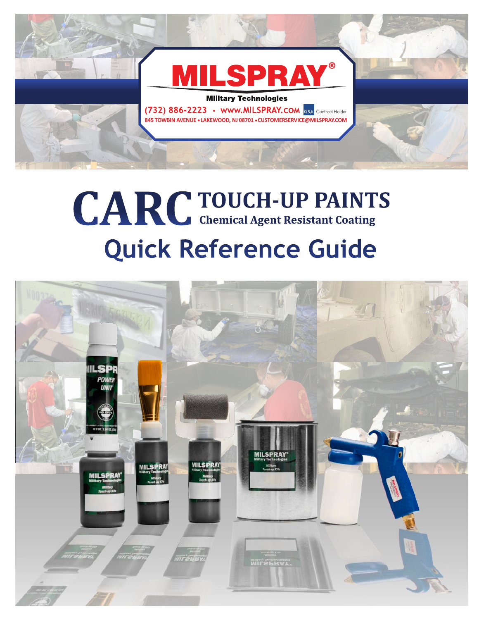

## **Quick Reference Guide**  CARC TOUCH-UP PAINTS

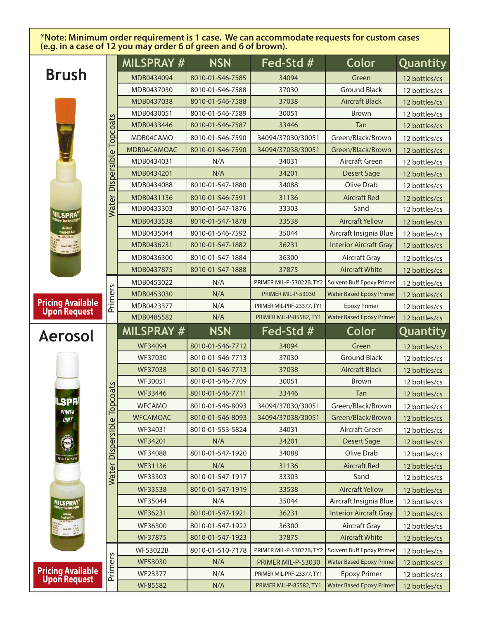**\*Note: Minimum order requirement is 1 case. We can accommodate requests for custom cases (e.g. in a case of 12 you may order 6 of green and 6 of brown).** 

|                                           |                         | MILSPRAY #      | <b>NSN</b>       | Fed-Std #                 | Color                           | Quantity      |
|-------------------------------------------|-------------------------|-----------------|------------------|---------------------------|---------------------------------|---------------|
| <b>Brush</b>                              |                         | MDB0434094      | 8010-01-546-7585 | 34094                     | Green                           | 12 bottles/cs |
|                                           |                         | MDB0437030      | 8010-01-546-7588 | 37030                     | <b>Ground Black</b>             | 12 bottles/cs |
|                                           |                         | MDB0437038      | 8010-01-546-7588 | 37038                     | <b>Aircraft Black</b>           | 12 bottles/cs |
|                                           | Topcoats<br>Dispersible | MDB0430051      | 8010-01-546-7589 | 30051                     | <b>Brown</b>                    | 12 bottles/cs |
|                                           |                         | MDB0433446      | 8010-01-546-7587 | 33446                     | Tan                             | 12 bottles/cs |
|                                           |                         | MDB04CAMO       | 8010-01-546-7590 | 34094/37030/30051         | Green/Black/Brown               | 12 bottles/cs |
|                                           |                         | MDB04CAMOAC     | 8010-01-546-7590 | 34094/37038/30051         | Green/Black/Brown               | 12 bottles/cs |
|                                           |                         | MDB0434031      | N/A              | 34031                     | Aircraft Green                  | 12 bottles/cs |
|                                           |                         | MDB0434201      | N/A              | 34201                     | <b>Desert Sage</b>              | 12 bottles/cs |
|                                           |                         | MDB0434088      | 8010-01-547-1880 | 34088                     | Olive Drab                      | 12 bottles/cs |
|                                           |                         | MDB0431136      | 8010-01-546-7591 | 31136                     | <b>Aircraft Red</b>             | 12 bottles/cs |
|                                           | Water                   | MDB0433303      | 8010-01-547-1876 | 33303                     | Sand                            | 12 bottles/cs |
| <b>IILSPRA</b>                            |                         | MDB0433538      | 8010-01-547-1878 | 33538                     | <b>Aircraft Yellow</b>          | 12 bottles/cs |
|                                           |                         | MDB0435044      | 8010-01-546-7592 | 35044                     | Aircraft Insignia Blue          | 12 bottles/cs |
|                                           |                         | MDB0436231      | 8010-01-547-1882 | 36231                     | <b>Interior Aircraft Gray</b>   | 12 bottles/cs |
| 31.100                                    |                         | MDB0436300      | 8010-01-547-1884 | 36300                     | <b>Aircraft Gray</b>            | 12 bottles/cs |
|                                           |                         | MDB0437875      | 8010-01-547-1888 | 37875                     | <b>Aircraft White</b>           | 12 bottles/cs |
|                                           |                         | MDB0453022      | N/A              | PRIMER MIL-P-53022B, TY2  | Solvent Buff Epoxy Primer       | 12 bottles/cs |
|                                           |                         | MDB0453030      | N/A              | PRIMER MIL-P-53030        | <b>Water Based Epoxy Primer</b> | 12 bottles/cs |
| <b>Pricing Available<br/>Upon Request</b> | Primers                 | MDB0423377      | N/A              | PRIMER MIL-PRF-23377, TY1 | <b>Epoxy Primer</b>             | 12 bottles/cs |
|                                           |                         | MDB0485582      | N/A              | PRIMER MIL-P-85582, TY1   | <b>Water Based Epoxy Primer</b> | 12 bottles/cs |
| <b>Aerosol</b>                            |                         | MILSPRAY #      | <b>NSN</b>       | Fed-Std #                 | Color                           | Quantity      |
|                                           |                         |                 |                  |                           |                                 |               |
|                                           |                         | WF34094         | 8010-01-546-7712 | 34094                     | Green                           | 12 bottles/cs |
|                                           |                         | WF37030         | 8010-01-546-7713 | 37030                     | <b>Ground Black</b>             | 12 bottles/cs |
|                                           |                         | WF37038         | 8010-01-546-7713 | 37038                     | <b>Aircraft Black</b>           | 12 bottles/cs |
|                                           |                         | WF30051         | 8010-01-546-7709 | 30051                     | <b>Brown</b>                    | 12 bottles/cs |
|                                           |                         | WF33446         | 8010-01-546-7711 | 33446                     | Tan                             | 12 bottles/cs |
| <b>LSPR</b>                               | pcoats                  | <b>WFCAMO</b>   | 8010-01-546-8093 | 34094/37030/30051         | Green/Black/Brown               | 12 bottles/cs |
| <b>POWER</b><br><b>UNIT</b>               | ᅙ                       | <b>WFCAMOAC</b> | 8010-01-546-8093 | 34094/37038/30051         | Green/Black/Brown               | 12 bottles/cs |
|                                           |                         | WF34031         | 8010-01-553-5824 | 34031                     | Aircraft Green                  | 12 bottles/cs |
|                                           |                         | WF34201         | N/A              | 34201                     | <b>Desert Sage</b>              | 12 bottles/cs |
| <b>ROCK</b>                               |                         | WF34088         | 8010-01-547-1920 | 34088                     | Olive Drab                      | 12 bottles/cs |
| ET NFT, 1,94 DZ. (55                      |                         | WF31136         | N/A              | 31136                     | <b>Aircraft Red</b>             | 12 bottles/cs |
|                                           |                         | WF33303         | 8010-01-547-1917 | 33303                     | Sand                            | 12 bottles/cs |
|                                           | Water Dispersible       | WF33538         | 8010-01-547-1919 | 33538                     | <b>Aircraft Yellow</b>          | 12 bottles/cs |
| <b>MILSPRAY</b>                           |                         | WF35044         | N/A              | 35044                     | Aircraft Insignia Blue          | 12 bottles/cs |
|                                           |                         | WF36231         | 8010-01-547-1921 | 36231                     | <b>Interior Aircraft Gray</b>   | 12 bottles/cs |
| <b>CALE MOT ACTIVE</b>                    |                         | WF36300         | 8010-01-547-1922 | 36300                     | <b>Aircraft Gray</b>            | 12 bottles/cs |
|                                           |                         | WF37875         | 8010-01-547-1923 | 37875                     | <b>Aircraft White</b>           | 12 bottles/cs |
|                                           |                         | <b>WF53022B</b> | 8010-01-510-7178 | PRIMER MIL-P-53022B, TY2  | Solvent Buff Epoxy Primer       | 12 bottles/cs |
|                                           |                         | WF53030         | N/A              | PRIMER MIL-P-53030        | <b>Water Based Epoxy Primer</b> | 12 bottles/cs |
| <b>Pricing Available<br/>Upon Request</b> | Primers                 | WF23377         | N/A              | PRIMER MIL-PRF-23377, TY1 | <b>Epoxy Primer</b>             | 12 bottles/cs |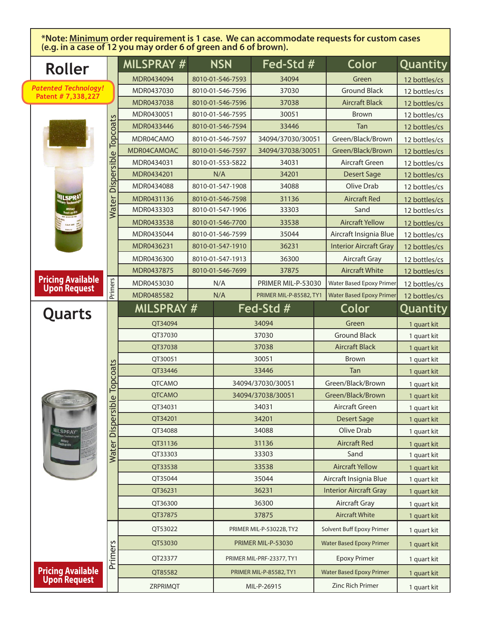**\*Note: Minimum order requirement is 1 case. We can accommodate requests for custom cases (e.g. in a case of 12 you may order 6 of green and 6 of brown).** 

|                 | Roller                                            |                                | MILSPRAY #    | <b>NSN</b><br>Fed-Std # |                  | <b>Color</b>                   | Quantity                        |               |
|-----------------|---------------------------------------------------|--------------------------------|---------------|-------------------------|------------------|--------------------------------|---------------------------------|---------------|
|                 |                                                   |                                | MDR0434094    |                         | 8010-01-546-7593 | 34094                          | Green                           | 12 bottles/cs |
|                 | <b>Patented Technology!</b><br>Patent # 7,338,227 |                                | MDR0437030    |                         | 8010-01-546-7596 | 37030                          | <b>Ground Black</b>             | 12 bottles/cs |
|                 |                                                   |                                | MDR0437038    |                         | 8010-01-546-7596 | 37038                          | <b>Aircraft Black</b>           | 12 bottles/cs |
|                 |                                                   |                                | MDR0430051    |                         | 8010-01-546-7595 | 30051                          | <b>Brown</b>                    | 12 bottles/cs |
|                 |                                                   |                                | MDR0433446    |                         | 8010-01-546-7594 | 33446                          | Tan                             | 12 bottles/cs |
|                 |                                                   | opcoats<br>¢<br>Dispersibl     | MDR04CAMO     |                         | 8010-01-546-7597 | 34094/37030/30051              | Green/Black/Brown               | 12 bottles/cs |
|                 |                                                   |                                | MDR04CAMOAC   |                         | 8010-01-546-7597 | 34094/37038/30051              | Green/Black/Brown               | 12 bottles/cs |
|                 |                                                   |                                | MDR0434031    |                         | 8010-01-553-5822 | 34031                          | Aircraft Green                  | 12 bottles/cs |
|                 |                                                   |                                | MDR0434201    |                         | N/A              | 34201                          | <b>Desert Sage</b>              | 12 bottles/cs |
|                 |                                                   |                                | MDR0434088    |                         | 8010-01-547-1908 | 34088                          | Olive Drab                      | 12 bottles/cs |
|                 | <b>ILSPRA</b>                                     |                                | MDR0431136    |                         | 8010-01-546-7598 | 31136                          | <b>Aircraft Red</b>             | 12 bottles/cs |
|                 |                                                   | Water                          | MDR0433303    |                         | 8010-01-547-1906 | 33303                          | Sand                            | 12 bottles/cs |
|                 |                                                   |                                | MDR0433538    |                         | 8010-01-546-7700 | 33538                          | <b>Aircraft Yellow</b>          | 12 bottles/cs |
|                 |                                                   |                                | MDR0435044    |                         | 8010-01-546-7599 | 35044                          | Aircraft Insignia Blue          | 12 bottles/cs |
|                 |                                                   |                                | MDR0436231    |                         | 8010-01-547-1910 | 36231                          | <b>Interior Aircraft Gray</b>   | 12 bottles/cs |
|                 |                                                   | <b>Primers</b>                 | MDR0436300    |                         | 8010-01-547-1913 | 36300                          | Aircraft Gray                   | 12 bottles/cs |
|                 |                                                   |                                | MDR0437875    |                         | 8010-01-546-7699 | 37875                          | <b>Aircraft White</b>           | 12 bottles/cs |
|                 | <b>Pricing Available<br/>Upon Request</b>         |                                | MDR0453030    |                         | N/A              | PRIMER MIL-P-53030             | <b>Water Based Epoxy Primer</b> | 12 bottles/cs |
|                 |                                                   |                                | MDR0485582    |                         | N/A              | PRIMER MIL-P-85582, TY1        | <b>Water Based Epoxy Primer</b> | 12 bottles/cs |
|                 | Quarts                                            |                                | MILSPRAY #    |                         |                  | Fed-Std #                      | Color                           | Quantity      |
|                 |                                                   | Topcoats<br>$\frac{e}{\Omega}$ | QT34094       |                         |                  | 34094                          | Green                           | 1 quart kit   |
|                 |                                                   |                                | QT37030       |                         |                  | 37030                          | <b>Ground Black</b>             | 1 quart kit   |
|                 |                                                   |                                | QT37038       |                         |                  | 37038                          | <b>Aircraft Black</b>           | 1 quart kit   |
|                 |                                                   |                                | QT30051       |                         |                  | 30051                          | <b>Brown</b>                    | 1 quart kit   |
|                 |                                                   |                                | QT33446       |                         |                  | 33446                          | Tan                             | 1 quart kit   |
|                 |                                                   |                                | <b>QTCAMO</b> |                         |                  | 34094/37030/30051              | Green/Black/Brown               | 1 quart kit   |
|                 |                                                   |                                | <b>QTCAMO</b> |                         |                  | 34094/37038/30051              | Green/Black/Brown               | 1 quart kit   |
| <b>MILSPRAY</b> | <b>Water Dispersi</b>                             | QT34031                        |               |                         | 34031            | Aircraft Green                 | 1 quart kit                     |               |
|                 |                                                   | QT34201                        |               |                         | 34201            | Desert Sage                    | 1 quart kit                     |               |
|                 |                                                   | QT34088                        |               |                         | 34088            | Olive Drab                     | 1 quart kit                     |               |
|                 | Military<br>Touch op Kits                         |                                | QT31136       |                         |                  | 31136                          | <b>Aircraft Red</b>             | 1 quart kit   |
|                 |                                                   |                                | QT33303       |                         |                  | 33303                          | Sand                            | 1 quart kit   |
|                 |                                                   |                                | QT33538       |                         |                  | 33538                          | <b>Aircraft Yellow</b>          | 1 quart kit   |
|                 |                                                   |                                | QT35044       |                         |                  | 35044                          | Aircraft Insignia Blue          | 1 quart kit   |
|                 |                                                   |                                | QT36231       |                         |                  | 36231                          | <b>Interior Aircraft Gray</b>   | 1 quart kit   |
|                 |                                                   |                                | OT36300       |                         |                  | 36300                          | <b>Aircraft Gray</b>            | 1 quart kit   |
|                 |                                                   |                                | QT37875       |                         |                  | 37875                          | <b>Aircraft White</b>           | 1 quart kit   |
|                 |                                                   | Primers                        | QT53022       |                         |                  | PRIMER MIL-P-53022B, TY2       | Solvent Buff Epoxy Primer       | 1 quart kit   |
|                 |                                                   |                                | QT53030       |                         |                  | PRIMER MIL-P-53030             | <b>Water Based Epoxy Primer</b> | 1 quart kit   |
|                 |                                                   |                                | QT23377       |                         |                  | PRIMER MIL-PRF-23377, TY1      | <b>Epoxy Primer</b>             | 1 quart kit   |
|                 | <b>Pricing Available<br/>Upon Request</b>         |                                | QT85582       |                         |                  | <b>PRIMER MIL-P-85582, TY1</b> | <b>Water Based Epoxy Primer</b> | 1 quart kit   |
|                 |                                                   | ZRPRIMQT                       |               |                         | MIL-P-26915      | <b>Zinc Rich Primer</b>        | 1 quart kit                     |               |